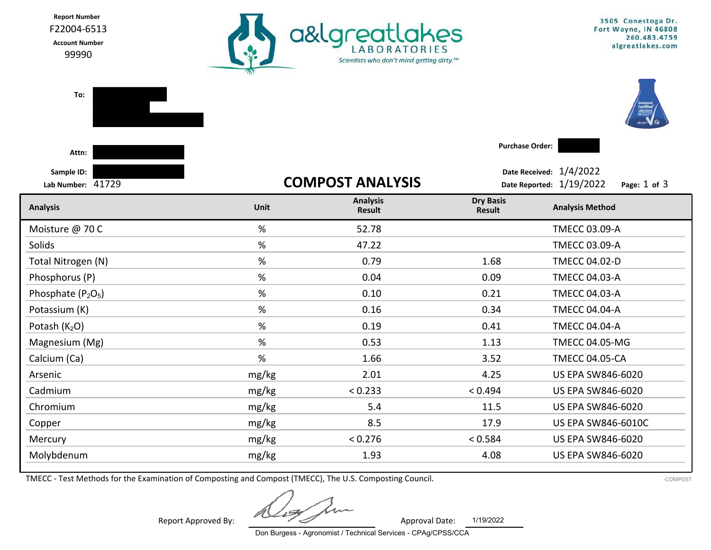Report Number F22004-6513

Account Number

99990



| To:                                        |       |                           |                                   |                                                                         |  |
|--------------------------------------------|-------|---------------------------|-----------------------------------|-------------------------------------------------------------------------|--|
| Attn:                                      |       |                           | <b>Purchase Order:</b>            |                                                                         |  |
| Sample ID:<br>Lab Number: 41729            |       | <b>COMPOST ANALYSIS</b>   |                                   | Date Received: 1/4/2022<br>Date Reported: 1/19/2022<br>Page: $1$ of $3$ |  |
| <b>Analysis</b>                            | Unit  | <b>Analysis</b><br>Result | <b>Dry Basis</b><br><b>Result</b> | <b>Analysis Method</b>                                                  |  |
| Moisture @ 70 C                            | %     | 52.78                     |                                   | <b>TMECC 03.09-A</b>                                                    |  |
| <b>Solids</b>                              | $\%$  | 47.22                     |                                   | <b>TMECC 03.09-A</b>                                                    |  |
| Total Nitrogen (N)                         | %     | 0.79                      | 1.68                              | <b>TMECC 04.02-D</b>                                                    |  |
| Phosphorus (P)                             | $\%$  | 0.04                      | 0.09                              | <b>TMECC 04.03-A</b>                                                    |  |
| Phosphate (P <sub>2</sub> O <sub>5</sub> ) | %     | 0.10                      | 0.21                              | <b>TMECC 04.03-A</b>                                                    |  |
| Potassium (K)                              | %     | 0.16                      | 0.34                              | <b>TMECC 04.04-A</b>                                                    |  |
| Potash (K <sub>2</sub> O)                  | $\%$  | 0.19                      | 0.41                              | <b>TMECC 04.04-A</b>                                                    |  |
| Magnesium (Mg)                             | $\%$  | 0.53                      | 1.13                              | <b>TMECC 04.05-MG</b>                                                   |  |
| Calcium (Ca)                               | $\%$  | 1.66                      | 3.52                              | <b>TMECC 04.05-CA</b>                                                   |  |
| Arsenic                                    | mg/kg | 2.01                      | 4.25                              | <b>US EPA SW846-6020</b>                                                |  |
| Cadmium                                    | mg/kg | < 0.233                   | < 0.494                           | <b>US EPA SW846-6020</b>                                                |  |
| Chromium                                   | mg/kg | 5.4                       | 11.5                              | <b>US EPA SW846-6020</b>                                                |  |
| Copper                                     | mg/kg | 8.5                       | 17.9                              | <b>US EPA SW846-6010C</b>                                               |  |
| Mercury                                    | mg/kg | < 0.276                   | < 0.584                           | US EPA SW846-6020                                                       |  |
| Molybdenum                                 | mg/kg | 1.93                      | 4.08                              | <b>US EPA SW846-6020</b>                                                |  |
|                                            |       |                           |                                   |                                                                         |  |

TMECC - Test Methods for the Examination of Composting and Compost (TMECC), The U.S. Composting Council.

1/19/2022

Report Approved By: Approval Date:

Don Burgess - Agronomist / Technical Services - CPAg/CPSS/CCA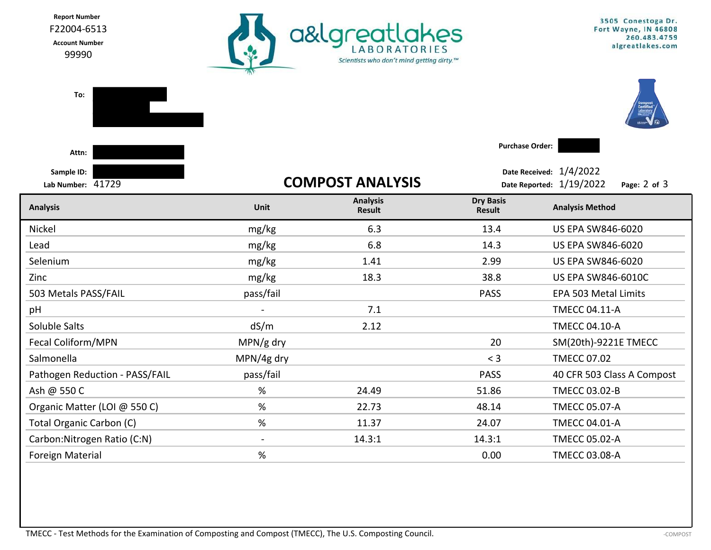Report Number a&lgreatlakes F22004-6513 Account Number 99990 Scientists who don't mind getting dirty.™

3505 Conestoga Dr. Fort Wayne, IN 46808 260.483.4759 algreatlakes.com

| To:                             |                |                           |                            |                                                                     |  |
|---------------------------------|----------------|---------------------------|----------------------------|---------------------------------------------------------------------|--|
| Attn:                           |                |                           | <b>Purchase Order:</b>     |                                                                     |  |
| Sample ID:<br>Lab Number: 41729 |                | <b>COMPOST ANALYSIS</b>   |                            | Date Received: 1/4/2022<br>Date Reported: 1/19/2022<br>Page: 2 of 3 |  |
| <b>Analysis</b>                 | Unit           | <b>Analysis</b><br>Result | <b>Dry Basis</b><br>Result | <b>Analysis Method</b>                                              |  |
| Nickel                          | mg/kg          | 6.3                       | 13.4                       | <b>US EPA SW846-6020</b>                                            |  |
| Lead                            | mg/kg          | 6.8                       | 14.3                       | US EPA SW846-6020                                                   |  |
| Selenium                        | mg/kg          | 1.41                      | 2.99                       | US EPA SW846-6020                                                   |  |
| Zinc                            | mg/kg          | 18.3                      | 38.8                       | <b>US EPA SW846-6010C</b>                                           |  |
| 503 Metals PASS/FAIL            | pass/fail      |                           | <b>PASS</b>                | EPA 503 Metal Limits                                                |  |
| pH                              | $\blacksquare$ | 7.1                       |                            | <b>TMECC 04.11-A</b>                                                |  |
| Soluble Salts                   | dS/m           | 2.12                      |                            | <b>TMECC 04.10-A</b>                                                |  |
| Fecal Coliform/MPN              | MPN/g dry      |                           | 20                         | SM(20th)-9221E TMECC                                                |  |
| Salmonella                      | MPN/4g dry     |                           | $<$ 3                      | <b>TMECC 07.02</b>                                                  |  |
| Pathogen Reduction - PASS/FAIL  | pass/fail      |                           | <b>PASS</b>                | 40 CFR 503 Class A Compost                                          |  |
| Ash @ 550 C                     | %              | 24.49                     | 51.86                      | TMECC 03.02-B                                                       |  |
| Organic Matter (LOI @ 550 C)    | %              | 22.73                     | 48.14                      | <b>TMECC 05.07-A</b>                                                |  |
| <b>Total Organic Carbon (C)</b> | %              | 11.37                     | 24.07                      | <b>TMECC 04.01-A</b>                                                |  |
| Carbon: Nitrogen Ratio (C:N)    | $\blacksquare$ | 14.3:1                    | 14.3:1                     | <b>TMECC 05.02-A</b>                                                |  |
| <b>Foreign Material</b>         | $\%$           |                           | 0.00                       | <b>TMECC 03.08-A</b>                                                |  |
|                                 |                |                           |                            |                                                                     |  |